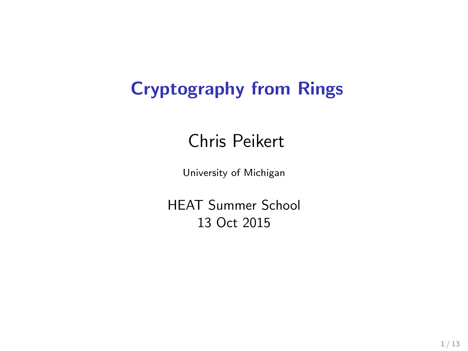### Cryptography from Rings

### Chris Peikert

University of Michigan

HEAT Summer School 13 Oct 2015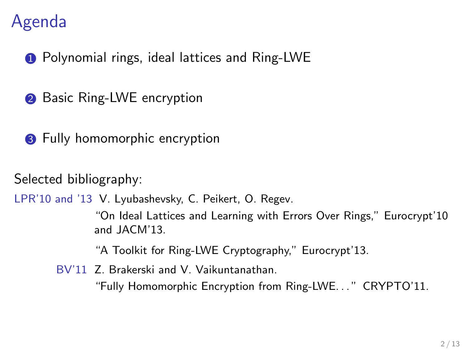### Agenda

**1** Polynomial rings, ideal lattices and Ring-LWE

- **2** Basic Ring-LWE encryption
- **3** Fully homomorphic encryption

Selected bibliography:

LPR'10 and '13 V. Lyubashevsky, C. Peikert, O. Regev.

"On Ideal Lattices and Learning with Errors Over Rings," Eurocrypt'10 and JACM'13.

"A Toolkit for Ring-LWE Cryptography," Eurocrypt'13.

BV'11 Z. Brakerski and V. Vaikuntanathan.

"Fully Homomorphic Encryption from Ring-LWE. . . " CRYPTO'11.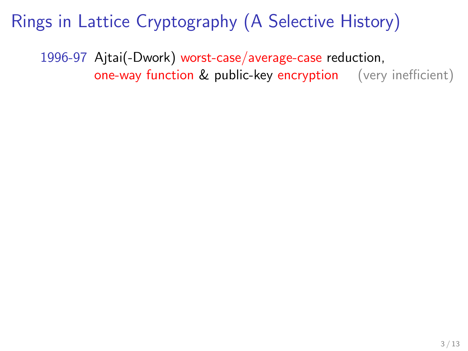1996-97 Ajtai(-Dwork) worst-case/average-case reduction, one-way function & public-key encryption (very inefficient)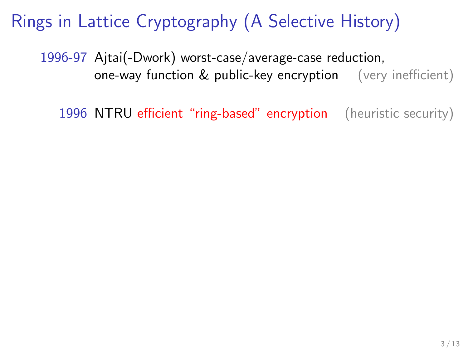1996-97 Ajtai(-Dwork) worst-case/average-case reduction, one-way function & public-key encryption (very inefficient)

1996 NTRU efficient "ring-based" encryption (heuristic security)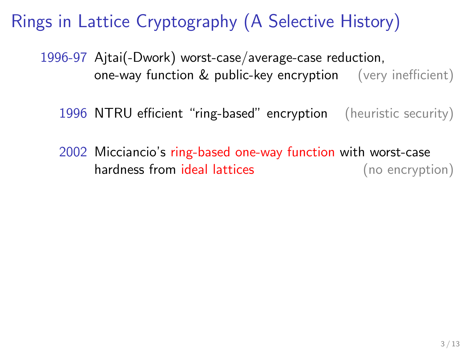1996-97 Ajtai(-Dwork) worst-case/average-case reduction, one-way function & public-key encryption (very inefficient)

1996 NTRU efficient "ring-based" encryption (heuristic security)

2002 Micciancio's ring-based one-way function with worst-case hardness from ideal lattices (no encryption)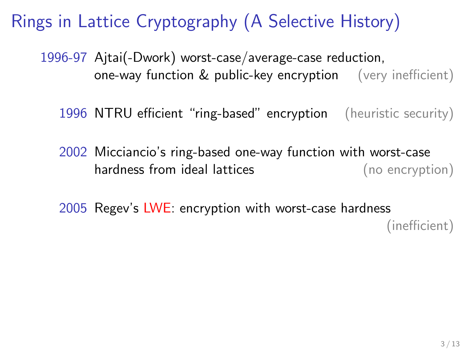1996-97 Ajtai(-Dwork) worst-case/average-case reduction, one-way function & public-key encryption (very inefficient)

1996 NTRU efficient "ring-based" encryption (heuristic security)

2002 Micciancio's ring-based one-way function with worst-case hardness from ideal lattices (no encryption)

2005 Regev's LWE: encryption with worst-case hardness (inefficient)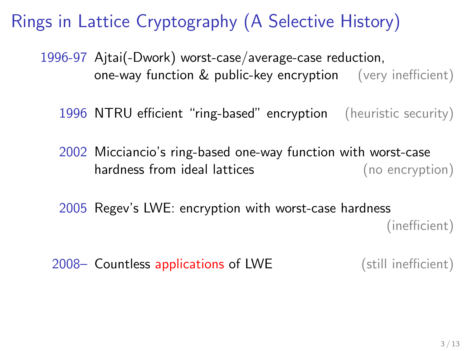1996-97 Ajtai(-Dwork) worst-case/average-case reduction, one-way function & public-key encryption (very inefficient)

1996 NTRU efficient "ring-based" encryption (heuristic security)

2002 Micciancio's ring-based one-way function with worst-case hardness from ideal lattices (no encryption)

2005 Regev's LWE: encryption with worst-case hardness (inefficient)

2008– Countless applications of LWE (still inefficient)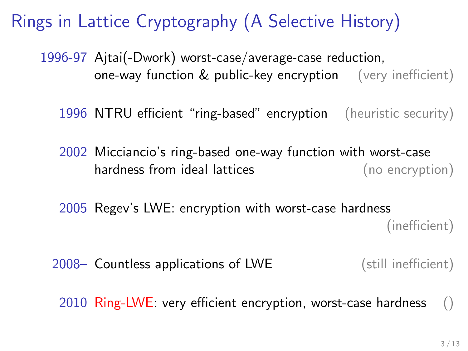1996-97 Ajtai(-Dwork) worst-case/average-case reduction, one-way function & public-key encryption (very inefficient)

1996 NTRU efficient "ring-based" encryption (heuristic security)

2002 Micciancio's ring-based one-way function with worst-case hardness from ideal lattices (no encryption)

2005 Regev's LWE: encryption with worst-case hardness (inefficient)

2008– Countless applications of LWE (still inefficient)

2010 Ring-LWE: very efficient encryption, worst-case hardness  $\qquad$  ()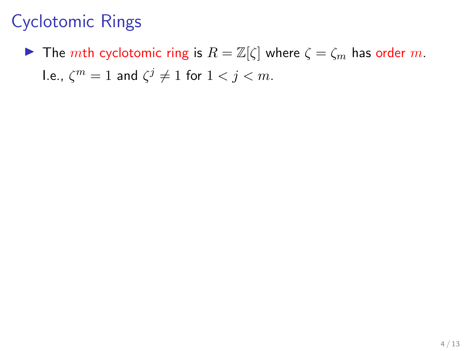**If** The mth cyclotomic ring is  $R = \mathbb{Z}[\zeta]$  where  $\zeta = \zeta_m$  has order m. l.e.,  $\zeta^m=1$  and  $\zeta^j\neq 1$  for  $1< j < m$ .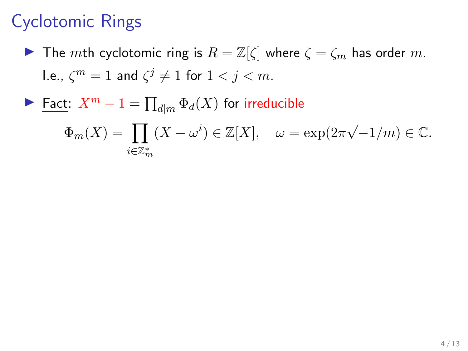- **If** The mth cyclotomic ring is  $R = \mathbb{Z}[\zeta]$  where  $\zeta = \zeta_m$  has order m. l.e.,  $\zeta^m=1$  and  $\zeta^j\neq 1$  for  $1< j < m$ .
- ► Fact:  $X^m 1 = \prod_{d|m} \Phi_d(X)$  for irreducible

$$
\Phi_m(X) = \prod_{i \in \mathbb{Z}_m^*} (X - \omega^i) \in \mathbb{Z}[X], \quad \omega = \exp(2\pi\sqrt{-1/m}) \in \mathbb{C}.
$$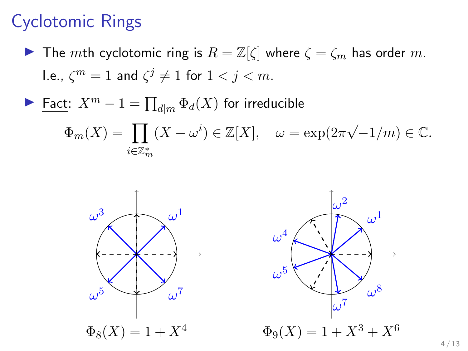- **If The mth cyclotomic ring is**  $R = \mathbb{Z}[\zeta]$  **where**  $\zeta = \zeta_m$  **has order m.** l.e.,  $\zeta^m=1$  and  $\zeta^j\neq 1$  for  $1< j < m$ .
- ► Fact:  $X^m 1 = \prod_{d|m} \Phi_d(X)$  for irreducible

$$
\Phi_m(X) = \prod_{i \in \mathbb{Z}_m^*} (X - \omega^i) \in \mathbb{Z}[X], \quad \omega = \exp(2\pi\sqrt{-1/m}) \in \mathbb{C}.
$$



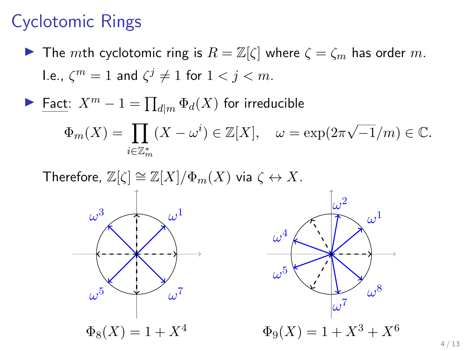- **If The mth cyclotomic ring is**  $R = \mathbb{Z}[\zeta]$  where  $\zeta = \zeta_m$  has order m. l.e.,  $\zeta^m=1$  and  $\zeta^j\neq 1$  for  $1< j < m$ .
- ► Fact:  $X^m 1 = \prod_{d|m} \Phi_d(X)$  for irreducible

$$
\Phi_m(X) = \prod_{i \in \mathbb{Z}_m^*} (X - \omega^i) \in \mathbb{Z}[X], \quad \omega = \exp(2\pi\sqrt{-1/m}) \in \mathbb{C}.
$$



 $\omega^1$ 

 $\omega^8$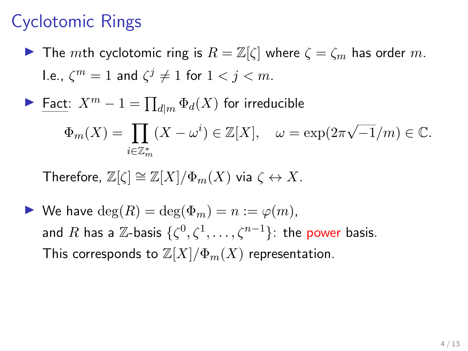- **If The mth cyclotomic ring is**  $R = \mathbb{Z}[\zeta]$  where  $\zeta = \zeta_m$  has order m. l.e.,  $\zeta^m=1$  and  $\zeta^j\neq 1$  for  $1< j < m$ .
- ► Fact:  $X^m 1 = \prod_{d|m} \Phi_d(X)$  for irreducible

$$
\Phi_m(X) = \prod_{i \in \mathbb{Z}_m^*} (X - \omega^i) \in \mathbb{Z}[X], \quad \omega = \exp(2\pi\sqrt{-1/m}) \in \mathbb{C}.
$$

Therefore,  $\mathbb{Z}[\zeta] \cong \mathbb{Z}[X]/\Phi_m(X)$  via  $\zeta \leftrightarrow X$ .

 $\blacktriangleright$  We have  $\deg(R) = \deg(\Phi_m) = n := \varphi(m)$ . and  $R$  has a  $\mathbb Z$ -basis  $\{\zeta^0,\zeta^1,\ldots,\zeta^{n-1}\}$ : the power basis. This corresponds to  $\mathbb{Z}[X]/\Phi_m(X)$  representation.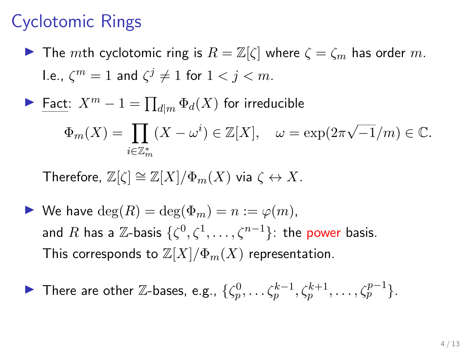**If** The mth cyclotomic ring is  $R = \mathbb{Z}[\zeta]$  where  $\zeta = \zeta_m$  has order m. l.e.,  $\zeta^m=1$  and  $\zeta^j\neq 1$  for  $1< j < m$ .

$$
\blacktriangleright \underline{\text{Fact: } X^m - 1} = \prod_{d \mid m} \Phi_d(X) \text{ for irreducible}
$$

$$
\Phi_m(X) = \prod_{i \in \mathbb{Z}_m^*} (X - \omega^i) \in \mathbb{Z}[X], \quad \omega = \exp(2\pi\sqrt{-1/m}) \in \mathbb{C}.
$$

Therefore, 
$$
\mathbb{Z}[\zeta] \cong \mathbb{Z}[X]/\Phi_m(X)
$$
 via  $\zeta \leftrightarrow X$ .

 $\blacktriangleright$  We have  $\deg(R) = \deg(\Phi_m) = n := \varphi(m)$ , and  $R$  has a  $\mathbb Z$ -basis  $\{\zeta^0,\zeta^1,\ldots,\zeta^{n-1}\}$ : the power basis. This corresponds to  $\mathbb{Z}[X]/\Phi_m(X)$  representation.

• There are other Z-bases, e.g., 
$$
\{\zeta_p^0, \ldots \zeta_p^{k-1}, \zeta_p^{k+1}, \ldots, \zeta_p^{p-1}\}
$$
.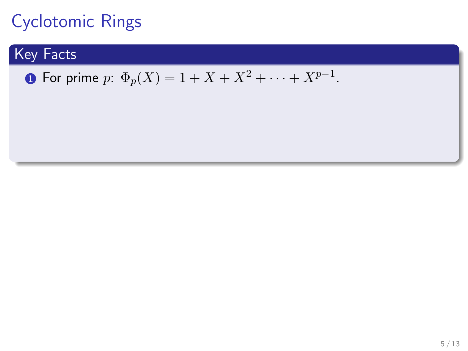### Key Facts

 $\textbf{1}$  For prime  $p: \Phi_{p}(X) = 1 + X + X^{2} + \cdots + X^{p-1}.$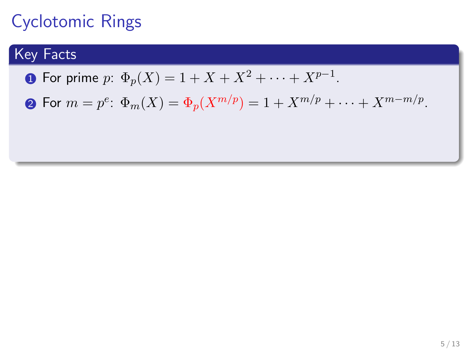### Key Facts

 $\textbf{1}$  For prime  $p: \Phi_{p}(X) = 1 + X + X^{2} + \cdots + X^{p-1}.$ 

2 For  $m = p^e \colon \Phi_m(X) = \Phi_p(X^{m/p}) = 1 + X^{m/p} + \cdots + X^{m-m/p}.$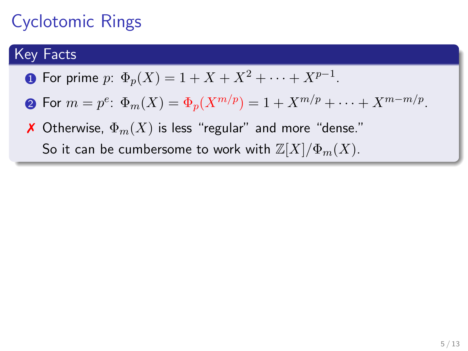#### Key Facts

- $\textbf{1}$  For prime  $p: \Phi_{p}(X) = 1 + X + X^{2} + \cdots + X^{p-1}.$
- 2 For  $m = p^e \colon \Phi_m(X) = \Phi_p(X^{m/p}) = 1 + X^{m/p} + \cdots + X^{m-m/p}.$
- **X** Otherwise,  $\Phi_m(X)$  is less "regular" and more "dense." So it can be cumbersome to work with  $\mathbb{Z}[X]/\Phi_m(X)$ .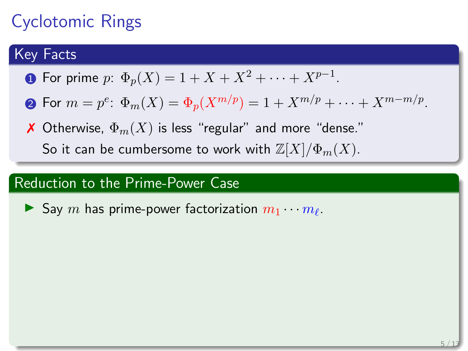#### Key Facts

- $\textbf{1}$  For prime  $p: \Phi_{p}(X) = 1 + X + X^{2} + \cdots + X^{p-1}.$
- 2 For  $m = p^e \colon \Phi_m(X) = \Phi_p(X^{m/p}) = 1 + X^{m/p} + \cdots + X^{m-m/p}.$
- **X** Otherwise,  $\Phi_m(X)$  is less "regular" and more "dense." So it can be cumbersome to work with  $\mathbb{Z}[X]/\Phi_m(X)$ .

#### Reduction to the Prime-Power Case

Say m has prime-power factorization  $m_1 \cdots m_\ell$ .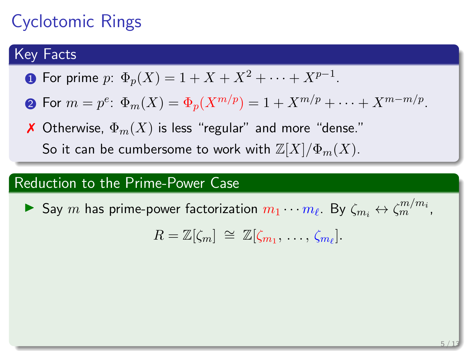#### Key Facts

- $\textbf{1}$  For prime  $p: \Phi_{p}(X) = 1 + X + X^{2} + \cdots + X^{p-1}.$
- 2 For  $m = p^e \colon \Phi_m(X) = \Phi_p(X^{m/p}) = 1 + X^{m/p} + \cdots + X^{m-m/p}.$
- **X** Otherwise,  $\Phi_m(X)$  is less "regular" and more "dense." So it can be cumbersome to work with  $\mathbb{Z}[X]/\Phi_m(X)$ .

#### Reduction to the Prime-Power Case

 $\blacktriangleright$  Say  $m$  has prime-power factorization  $m_1 \cdots m_\ell$ . By  $\zeta_{m_i} \leftrightarrow \zeta_m^{m/m_i}$ ,

$$
R=\mathbb{Z}[\zeta_m]\ \cong\ \mathbb{Z}[\zeta_{m_1},\ \ldots,\ \zeta_{m_\ell}].
$$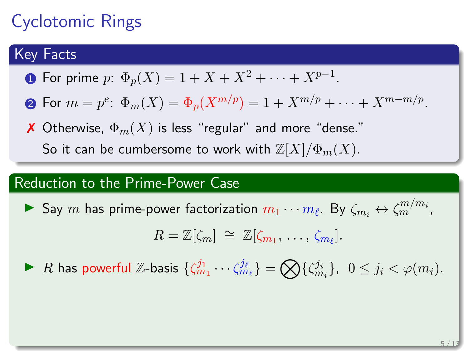#### Key Facts

- $\textbf{1}$  For prime  $p: \Phi_{p}(X) = 1 + X + X^{2} + \cdots + X^{p-1}.$
- 2 For  $m = p^e \colon \Phi_m(X) = \Phi_p(X^{m/p}) = 1 + X^{m/p} + \cdots + X^{m-m/p}.$
- **X** Otherwise,  $\Phi_m(X)$  is less "regular" and more "dense." So it can be cumbersome to work with  $\mathbb{Z}[X]/\Phi_m(X)$ .

#### Reduction to the Prime-Power Case

 $\blacktriangleright$  Say  $m$  has prime-power factorization  $m_1 \cdots m_\ell$ . By  $\zeta_{m_i} \leftrightarrow \zeta_m^{m/m_i}$ ,

$$
R=\mathbb{Z}[\zeta_m]\ \cong\ \mathbb{Z}[\zeta_{m_1},\ \ldots,\ \zeta_{m_\ell}].
$$

▶ R has powerful Z-basis  $\{\zeta_{m_1}^{j_1}\cdots\zeta_{m_\ell}^{j_\ell}\} = \bigotimes \{\zeta_{m_i}^{j_i}\}, \ \ 0 \leq j_i < \varphi(m_i).$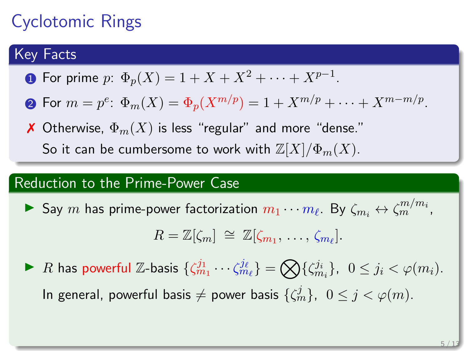#### Key Facts

- $\textbf{1}$  For prime  $p: \Phi_{p}(X) = 1 + X + X^{2} + \cdots + X^{p-1}.$
- 2 For  $m = p^e \colon \Phi_m(X) = \Phi_p(X^{m/p}) = 1 + X^{m/p} + \cdots + X^{m-m/p}.$
- **X** Otherwise,  $\Phi_m(X)$  is less "regular" and more "dense." So it can be cumbersome to work with  $\mathbb{Z}[X]/\Phi_m(X)$ .

#### Reduction to the Prime-Power Case

 $\blacktriangleright$  Say  $m$  has prime-power factorization  $m_1 \cdots m_\ell$ . By  $\zeta_{m_i} \leftrightarrow \zeta_m^{m/m_i}$ ,

$$
R=\mathbb{Z}[\zeta_m]\ \cong\ \mathbb{Z}[\zeta_{m_1},\ \ldots,\ \zeta_{m_\ell}].
$$

▶ R has powerful Z-basis  $\{\zeta_{m_1}^{j_1}\cdots\zeta_{m_\ell}^{j_\ell}\} = \bigotimes \{\zeta_{m_i}^{j_i}\}, \ \ 0 \leq j_i < \varphi(m_i).$ In general, powerful basis  $\neq$  power basis  $\{\zeta_m^j\}, \ \ 0\leq j < \varphi(m).$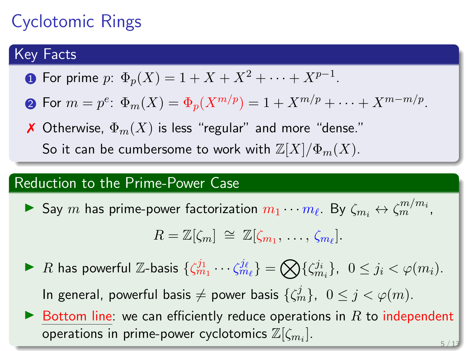### Key Facts

- $\textbf{1}$  For prime  $p: \Phi_{p}(X) = 1 + X + X^{2} + \cdots + X^{p-1}.$
- 2 For  $m = p^e \colon \Phi_m(X) = \Phi_p(X^{m/p}) = 1 + X^{m/p} + \cdots + X^{m-m/p}.$
- **X** Otherwise,  $\Phi_m(X)$  is less "regular" and more "dense." So it can be cumbersome to work with  $\mathbb{Z}[X]/\Phi_m(X)$ .

#### Reduction to the Prime-Power Case

 $\blacktriangleright$  Say  $m$  has prime-power factorization  $m_1 \cdots m_\ell$ . By  $\zeta_{m_i} \leftrightarrow \zeta_m^{m/m_i}$ ,

$$
R=\mathbb{Z}[\zeta_m]\ \cong\ \mathbb{Z}[\zeta_{m_1},\ \ldots,\ \zeta_{m_\ell}].
$$

- ▶ R has powerful Z-basis  $\{\zeta_{m_1}^{j_1}\cdots\zeta_{m_\ell}^{j_\ell}\} = \bigotimes \{\zeta_{m_i}^{j_i}\}, \ \ 0 \leq j_i < \varphi(m_i).$ In general, powerful basis  $\neq$  power basis  $\{\zeta_m^j\}, \ \ 0\leq j < \varphi(m).$
- $\blacktriangleright$  Bottom line: we can efficiently reduce operations in R to independent operations in prime-power cyclotomics  $\mathbb{Z}[\zeta_{m_i}].$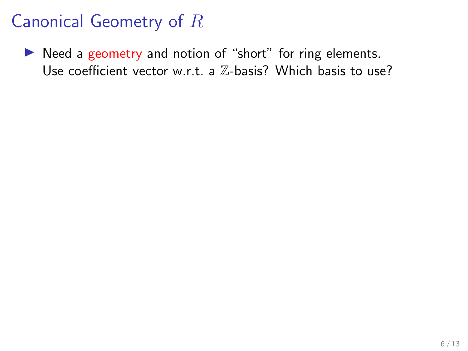$\triangleright$  Need a geometry and notion of "short" for ring elements. Use coefficient vector w.r.t. a Z-basis? Which basis to use?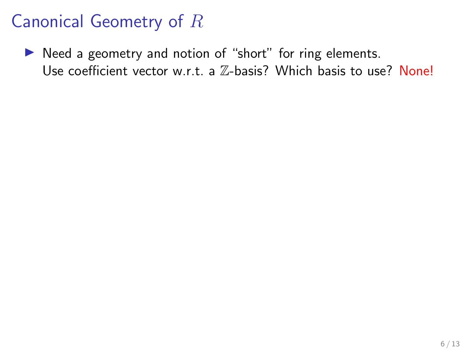$\triangleright$  Need a geometry and notion of "short" for ring elements. Use coefficient vector w.r.t. a  $\mathbb{Z}$ -basis? Which basis to use? None!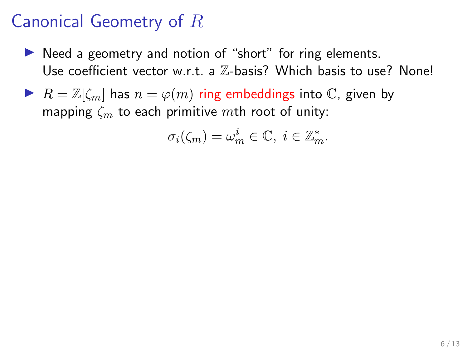- $\triangleright$  Need a geometry and notion of "short" for ring elements. Use coefficient vector w.r.t. a  $\mathbb{Z}$ -basis? Which basis to use? None!
- $\blacktriangleright$   $R = \mathbb{Z}[\zeta_m]$  has  $n = \varphi(m)$  ring embeddings into  $\mathbb{C}$ , given by mapping  $\zeta_m$  to each primitive mth root of unity:

$$
\sigma_i(\zeta_m)=\omega_m^i\in\mathbb{C},\ i\in\mathbb{Z}_m^*.
$$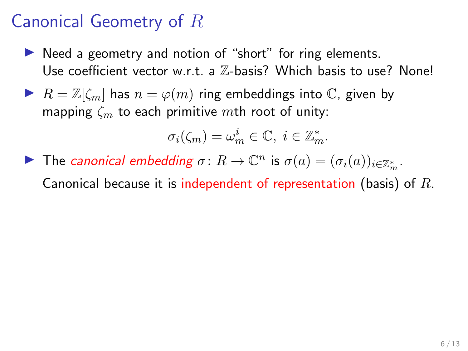- $\triangleright$  Need a geometry and notion of "short" for ring elements. Use coefficient vector w.r.t. a Z-basis? Which basis to use? None!
- $\blacktriangleright$   $R = \mathbb{Z}[\zeta_m]$  has  $n = \varphi(m)$  ring embeddings into  $\mathbb{C}$ , given by mapping  $\zeta_m$  to each primitive mth root of unity:

$$
\sigma_i(\zeta_m)=\omega_m^i\in\mathbb{C},\ i\in\mathbb{Z}_m^*.
$$

The canonical embedding  $\sigma: R \to \mathbb{C}^n$  is  $\sigma(a) = (\sigma_i(a))_{i \in \mathbb{Z}_m^*}$ .

Canonical because it is independent of representation (basis) of  $R$ .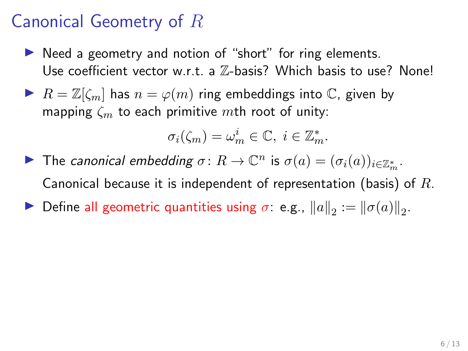- $\triangleright$  Need a geometry and notion of "short" for ring elements. Use coefficient vector w.r.t. a Z-basis? Which basis to use? None!
- $\blacktriangleright$   $R = \mathbb{Z}[\zeta_m]$  has  $n = \varphi(m)$  ring embeddings into  $\mathbb{C}$ , given by mapping  $\zeta_m$  to each primitive mth root of unity:

$$
\sigma_i(\zeta_m)=\omega_m^i\in\mathbb{C},\ i\in\mathbb{Z}_m^*.
$$

The canonical embedding  $\sigma: R \to \mathbb{C}^n$  is  $\sigma(a) = (\sigma_i(a))_{i \in \mathbb{Z}_m^*}$ . Canonical because it is independent of representation (basis) of  $R$ . Define all geometric quantities using  $\sigma$ : e.g.,  $||a||_2 := ||\sigma(a)||_2$ .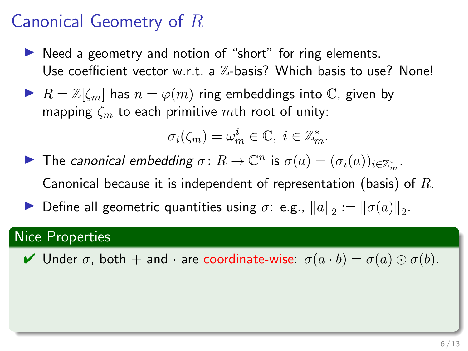- $\triangleright$  Need a geometry and notion of "short" for ring elements. Use coefficient vector w.r.t. a  $\mathbb{Z}$ -basis? Which basis to use? None!
- $\blacktriangleright$   $R = \mathbb{Z}[\zeta_m]$  has  $n = \varphi(m)$  ring embeddings into  $\mathbb{C}$ , given by mapping  $\zeta_m$  to each primitive mth root of unity:

$$
\sigma_i(\zeta_m)=\omega_m^i\in\mathbb{C},\ i\in\mathbb{Z}_m^*.
$$

- The canonical embedding  $\sigma: R \to \mathbb{C}^n$  is  $\sigma(a) = (\sigma_i(a))_{i \in \mathbb{Z}_m^*}$ . Canonical because it is independent of representation (basis) of  $R$ .
- Define all geometric quantities using  $\sigma$ : e.g.,  $||a||_2 := ||\sigma(a)||_2$ .

### Nice Properties

 $\blacktriangleright$  Under  $\sigma$ , both  $+$  and  $\cdot$  are coordinate-wise:  $\sigma(a \cdot b) = \sigma(a) \odot \sigma(b)$ .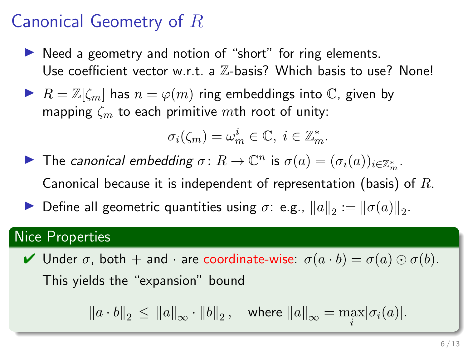- $\triangleright$  Need a geometry and notion of "short" for ring elements. Use coefficient vector w.r.t. a Z-basis? Which basis to use? None!
- $\blacktriangleright$   $R = \mathbb{Z}[\zeta_m]$  has  $n = \varphi(m)$  ring embeddings into  $\mathbb{C}$ , given by mapping  $\zeta_m$  to each primitive mth root of unity:

$$
\sigma_i(\zeta_m)=\omega_m^i\in\mathbb{C},\ i\in\mathbb{Z}_m^*.
$$

The canonical embedding  $\sigma: R \to \mathbb{C}^n$  is  $\sigma(a) = (\sigma_i(a))_{i \in \mathbb{Z}_m^*}$ . Canonical because it is independent of representation (basis) of  $R$ . Define all geometric quantities using  $\sigma$ : e.g.,  $||a||_2 := ||\sigma(a)||_2$ .

#### Nice Properties

 $\blacktriangleright$  Under  $\sigma$ , both  $+$  and  $\cdot$  are coordinate-wise:  $\sigma(a \cdot b) = \sigma(a) \odot \sigma(b)$ . This yields the "expansion" bound

 $||a \cdot b||_2 \le ||a||_{\infty} \cdot ||b||_2$ , where  $||a||_{\infty} = \max_i |\sigma_i(a)|$ .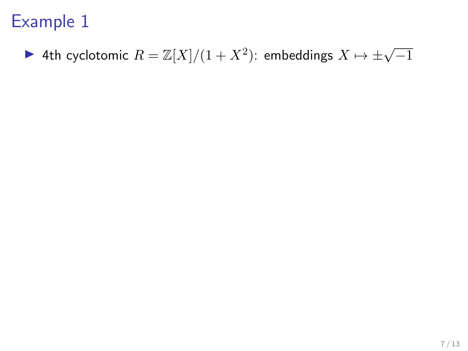# ▶ 4th cyclotomic  $R = \mathbb{Z}[X]/(1+X^2)$ : embeddings  $X \mapsto \pm \sqrt{-1}$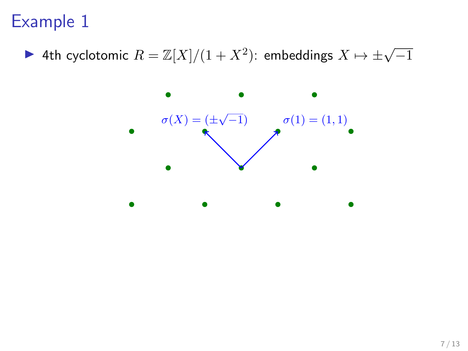▶ 4th cyclotomic  $R = \mathbb{Z}[X]/(1+X^2)$ : embeddings  $X \mapsto \pm \sqrt{-1}$ 

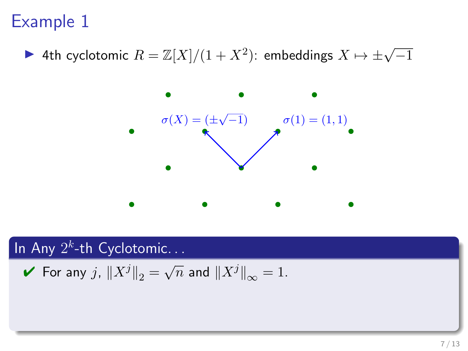▶ 4th cyclotomic  $R = \mathbb{Z}[X]/(1+X^2)$ : embeddings  $X \mapsto \pm \sqrt{-1}$ 



In Any  $2^k$ -th Cyclotomic...

For any 
$$
j
$$
,  $||X^j||_2 = \sqrt{n}$  and  $||X^j||_{\infty} = 1$ .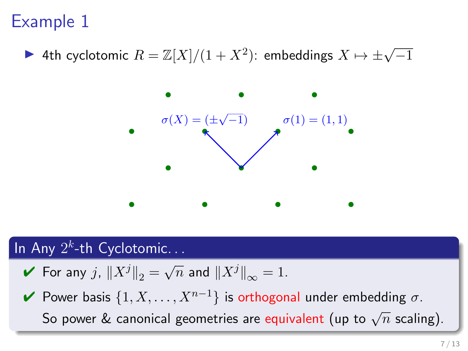▶ 4th cyclotomic  $R = \mathbb{Z}[X]/(1+X^2)$ : embeddings  $X \mapsto \pm \sqrt{-1}$ 



### In Any  $2^k$ -th Cyclotomic...

- $\blacktriangleright$  For any  $j$ ,  $\|X^j\|_2 = \sqrt{n}$  and  $\|X^j\|_{\infty} = 1$ .
- $\blacktriangleright$  Power basis  $\{1, X, \ldots, X^{n-1}\}$  is orthogonal under embedding σ. So power & canonical geometries are equivalent (up to  $\sqrt{n}$  scaling).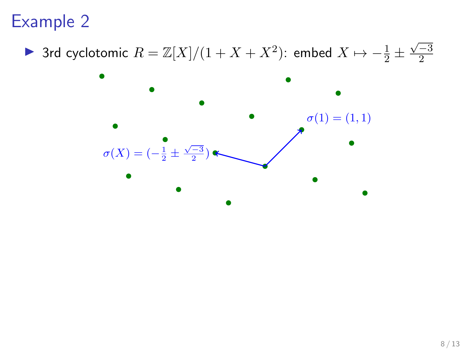▶ 3rd cyclotomic  $R = \mathbb{Z}[X]/(1 + X + X^2)$ : embed  $X \mapsto -\frac{1}{2} \pm \frac{1}{2}$  $\sqrt{-3}$ 2

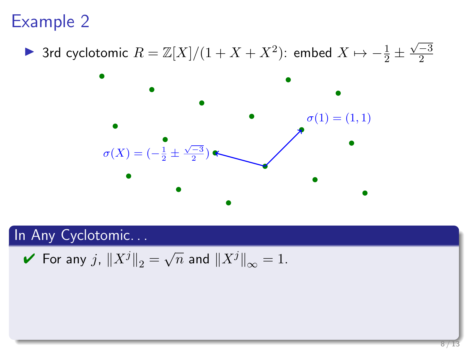▶ 3rd cyclotomic  $R = \mathbb{Z}[X]/(1 + X + X^2)$ : embed  $X \mapsto -\frac{1}{2} \pm \frac{1}{2}$  $\sqrt{-3}$ 2



#### In Any Cyclotomic...

For any 
$$
j
$$
,  $||X^j||_2 = \sqrt{n}$  and  $||X^j||_{\infty} = 1$ .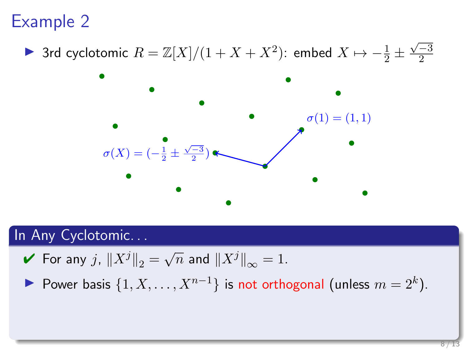▶ 3rd cyclotomic  $R = \mathbb{Z}[X]/(1 + X + X^2)$ : embed  $X \mapsto -\frac{1}{2} \pm \frac{1}{2}$  $\sqrt{-3}$ 2



#### In Any Cyclotomic. . .

For any 
$$
j
$$
,  $||X^j||_2 = \sqrt{n}$  and  $||X^j||_{\infty} = 1$ .

Power basis  $\{1, X, \ldots, X^{n-1}\}$  is not orthogonal (unless  $m = 2^k$ ).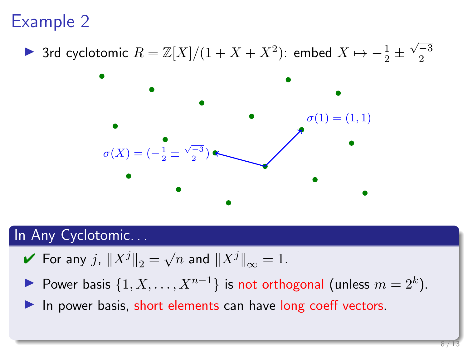▶ 3rd cyclotomic  $R = \mathbb{Z}[X]/(1 + X + X^2)$ : embed  $X \mapsto -\frac{1}{2} \pm \frac{1}{2}$  $\sqrt{-3}$ 2



#### In Any Cyclotomic...

- $\blacktriangleright$  For any  $j$ ,  $\|X^j\|_2 = \sqrt{n}$  and  $\|X^j\|_{\infty} = 1$ .
- Power basis  $\{1, X, \ldots, X^{n-1}\}$  is not orthogonal (unless  $m = 2^k$ ).

In power basis, short elements can have long coeff vectors.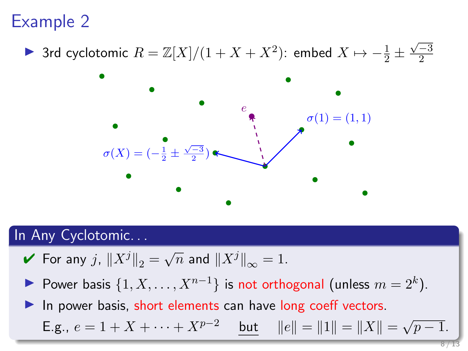▶ 3rd cyclotomic  $R = \mathbb{Z}[X]/(1 + X + X^2)$ : embed  $X \mapsto -\frac{1}{2} \pm \frac{1}{2}$  $\sqrt{-3}$ 2



#### In Any Cyclotomic. . .

- $\blacktriangleright$  For any  $j$ ,  $\|X^j\|_2 = \sqrt{n}$  and  $\|X^j\|_{\infty} = 1$ .
- Power basis  $\{1, X, \ldots, X^{n-1}\}$  is not orthogonal (unless  $m = 2^k$ ).

In power basis, short elements can have long coeff vectors. E.g.,  $e = 1 + X + \cdots + X^{p-2}$  but  $||e|| = ||1|| = ||X|| = \sqrt{p-1}$ .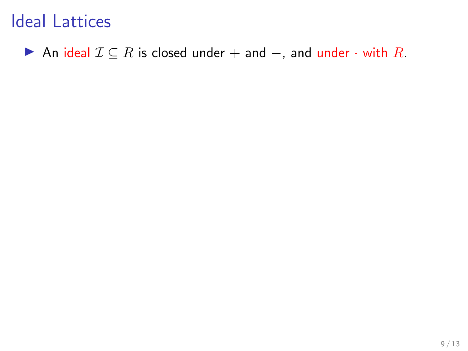An ideal  $\mathcal{I} \subseteq R$  is closed under + and -, and under  $\cdot$  with R.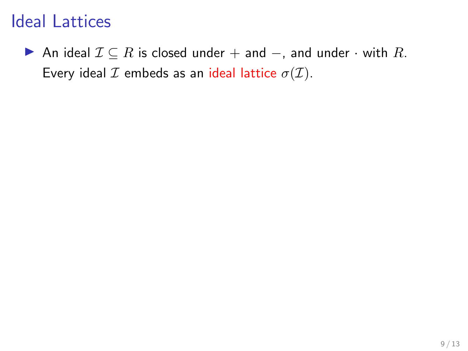An ideal  $\mathcal{I} \subseteq R$  is closed under + and  $-$ , and under  $\cdot$  with R. Every ideal  $\mathcal I$  embeds as an ideal lattice  $\sigma(\mathcal I)$ .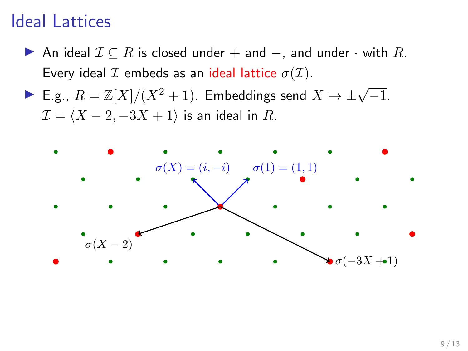- An ideal  $\mathcal{I} \subseteq R$  is closed under + and -, and under  $\cdot$  with R. Every ideal  $\mathcal I$  embeds as an ideal lattice  $\sigma(\mathcal I)$ .
- ► E.g.,  $R = \mathbb{Z}[X]/(X^2 + 1)$ . Embeddings send  $X \mapsto \pm \sqrt{-1}$ .  $\mathcal{I} = \langle X - 2, -3X + 1 \rangle$  is an ideal in R.

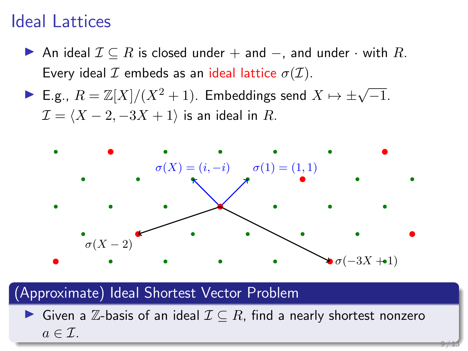- ▶ An ideal  $\mathcal{I} \subseteq R$  is closed under + and  $-$ , and under  $\cdot$  with  $R$ . Every ideal  $\mathcal I$  embeds as an ideal lattice  $\sigma(\mathcal I)$ .
- ► E.g.,  $R = \mathbb{Z}[X]/(X^2 + 1)$ . Embeddings send  $X \mapsto \pm \sqrt{-1}$ .  $\mathcal{I} = \langle X - 2, -3X + 1 \rangle$  is an ideal in R.



#### (Approximate) Ideal Shortest Vector Problem

► Given a  $\mathbb Z$ -basis of an ideal  $\mathcal I \subseteq R$ , find a nearly shortest nonzero  $a \in \mathcal{I}$ .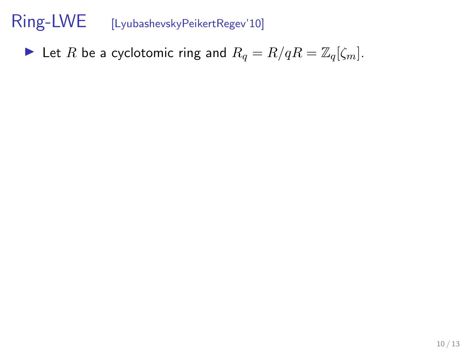In Let R be a cyclotomic ring and  $R_q = R/qR = \mathbb{Z}_q[\zeta_m].$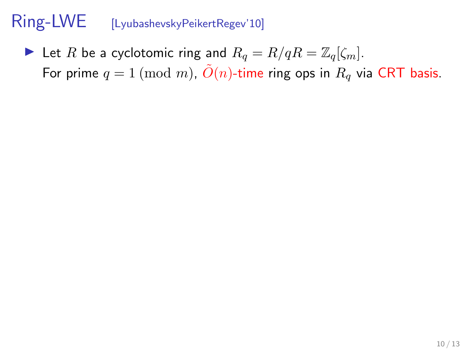In Let R be a cyclotomic ring and  $R_q = R/qR = \mathbb{Z}_q[\zeta_m].$ For prime  $q = 1 \pmod{m}$ ,  $\tilde{O}(n)$ -time ring ops in  $R_q$  via CRT basis.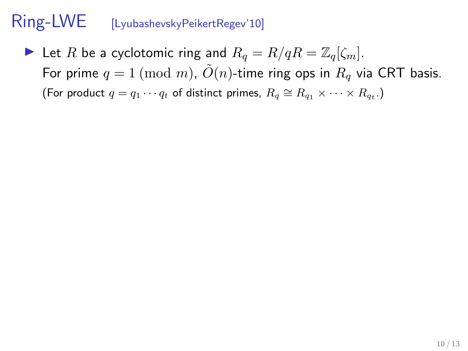In Let R be a cyclotomic ring and  $R_q = R/qR = \mathbb{Z}_q[\zeta_m].$ For prime  $q = 1 \pmod{m}$ ,  $\tilde{O}(n)$ -time ring ops in  $R_q$  via CRT basis. (For product  $q = q_1 \cdots q_t$  of distinct primes,  $R_q \cong R_{q_1} \times \cdots \times R_{q_t}$ .)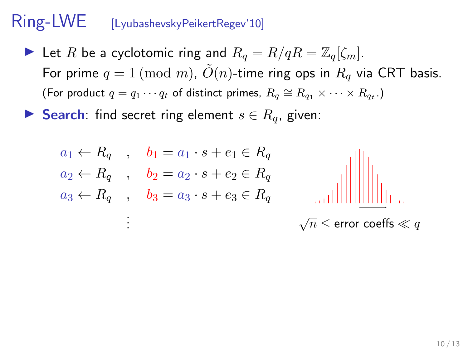- In Let R be a cyclotomic ring and  $R_q = R/qR = \mathbb{Z}_q[\zeta_m].$ For prime  $q = 1 \pmod{m}$ ,  $\tilde{O}(n)$ -time ring ops in  $R_q$  via CRT basis. (For product  $q = q_1 \cdots q_t$  of distinct primes,  $R_q \cong R_{q_1} \times \cdots \times R_{q_t}$ .)
- ► Search: find secret ring element  $s \in R_q$ , given:

$$
a_1 \leftarrow R_q \quad , \quad b_1 = a_1 \cdot s + e_1 \in R_q
$$
  
\n
$$
a_2 \leftarrow R_q \quad , \quad b_2 = a_2 \cdot s + e_2 \in R_q
$$
  
\n
$$
a_3 \leftarrow R_q \quad , \quad b_3 = a_3 \cdot s + e_3 \in R_q
$$
  
\n
$$
\vdots \qquad \qquad \sqrt{n} \leq \text{error coeffs} \ll q
$$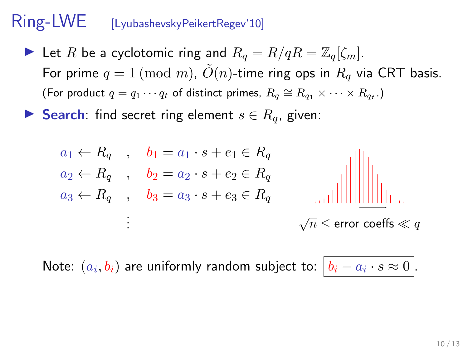- In Let R be a cyclotomic ring and  $R_q = R/qR = \mathbb{Z}_q[\zeta_m].$ For prime  $q = 1 \pmod{m}$ ,  $\tilde{O}(n)$ -time ring ops in  $R_q$  via CRT basis. (For product  $q = q_1 \cdots q_t$  of distinct primes,  $R_q \cong R_{q_1} \times \cdots \times R_{q_t}$ .)
- ► Search: find secret ring element  $s \in R_q$ , given:

$$
a_1 \leftarrow R_q \quad , \quad b_1 = a_1 \cdot s + e_1 \in R_q
$$
  
\n
$$
a_2 \leftarrow R_q \quad , \quad b_2 = a_2 \cdot s + e_2 \in R_q
$$
  
\n
$$
a_3 \leftarrow R_q \quad , \quad b_3 = a_3 \cdot s + e_3 \in R_q
$$
  
\n
$$
\vdots \qquad \qquad \sqrt{n} \le \text{error coefficients} \le q
$$

Note:  $(a_i,b_i)$  are uniformly random subject to:  $\big|b_i - a_i \cdot s \approx 0\big|.$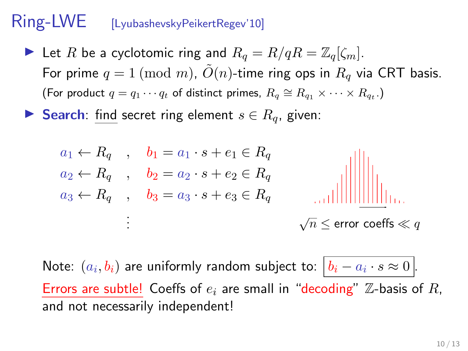- In Let R be a cyclotomic ring and  $R_q = R/qR = \mathbb{Z}_q[\zeta_m].$ For prime  $q = 1 \pmod{m}$ ,  $\tilde{O}(n)$ -time ring ops in  $R_q$  via CRT basis. (For product  $q = q_1 \cdots q_t$  of distinct primes,  $R_q \cong R_{q_1} \times \cdots \times R_{q_t}$ .)
- ► Search: find secret ring element  $s \in R_q$ , given:

$$
a_1 \leftarrow R_q \quad , \quad b_1 = a_1 \cdot s + e_1 \in R_q
$$
  
\n
$$
a_2 \leftarrow R_q \quad , \quad b_2 = a_2 \cdot s + e_2 \in R_q
$$
  
\n
$$
a_3 \leftarrow R_q \quad , \quad b_3 = a_3 \cdot s + e_3 \in R_q
$$
  
\n
$$
\vdots \qquad \qquad \sqrt{n} \le \text{error coeffs} \ll q
$$

Note:  $(a_i,b_i)$  are uniformly random subject to:  $\big|b_i - a_i \cdot s \approx 0\big|.$ Errors are subtle! Coeffs of  $e_i$  are small in "decoding"  $\mathbb Z$ -basis of R, and not necessarily independent!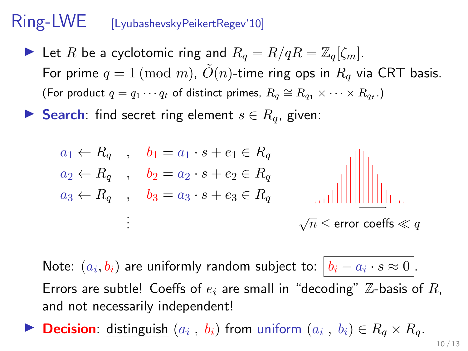- In Let R be a cyclotomic ring and  $R_q = R/qR = \mathbb{Z}_q[\zeta_m].$ For prime  $q = 1 \pmod{m}$ ,  $\tilde{O}(n)$ -time ring ops in  $R_q$  via CRT basis. (For product  $q = q_1 \cdots q_t$  of distinct primes,  $R_q \cong R_{q_1} \times \cdots \times R_{q_t}$ .)
- ► Search: find secret ring element  $s \in R_q$ , given:

a<sup>1</sup> ← R<sup>q</sup> , b<sup>1</sup> = a<sup>1</sup> · s + e<sup>1</sup> ∈ R<sup>q</sup> a<sup>2</sup> ← R<sup>q</sup> , b<sup>2</sup> = a<sup>2</sup> · s + e<sup>2</sup> ∈ R<sup>q</sup> a<sup>3</sup> ← R<sup>q</sup> , b<sup>3</sup> = a<sup>3</sup> · s + e<sup>3</sup> ∈ R<sup>q</sup> . . . √ n ≤ error coeffs q

Note:  $(a_i,b_i)$  are uniformly random subject to:  $\big|b_i - a_i \cdot s \approx 0\big|.$ Errors are subtle! Coeffs of  $e_i$  are small in "decoding"  $\mathbb Z$ -basis of R, and not necessarily independent!

**Decision**: distinguish  $(a_i, b_i)$  from uniform  $(a_i, b_i) \in R_q \times R_q$ .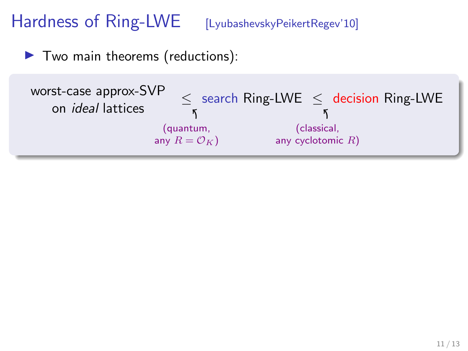$\blacktriangleright$  Two main theorems (reductions):

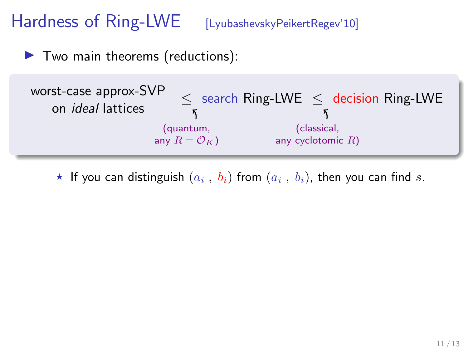$\blacktriangleright$  Two main theorems (reductions):



 $\star$  If you can distinguish  $(a_i\;,\;b_i)$  from  $(a_i\;,\;b_i)$ , then you can find  $s.$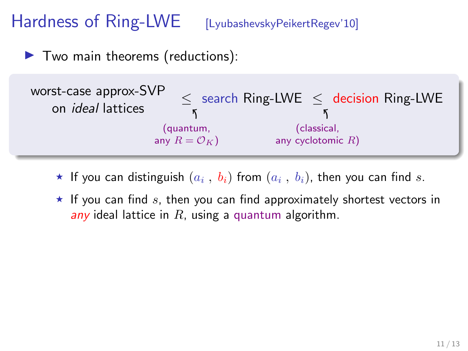$\blacktriangleright$  Two main theorems (reductions):



- $\star$  If you can distinguish  $(a_i\;,\;b_i)$  from  $(a_i\;,\;b_i)$ , then you can find  $s.$
- $\star$  If you can find s, then you can find approximately shortest vectors in any ideal lattice in  $R$ , using a quantum algorithm.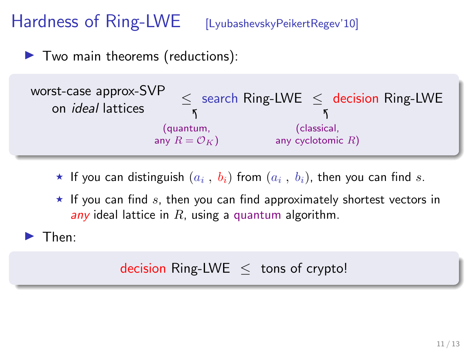$\blacktriangleright$  Two main theorems (reductions):



- $\star$  If you can distinguish  $(a_i\;,\;b_i)$  from  $(a_i\;,\;b_i)$ , then you can find  $s.$
- $\star$  If you can find s, then you can find approximately shortest vectors in any ideal lattice in  $R$ , using a quantum algorithm.

 $\blacktriangleright$  Then:

#### decision Ring-LWE  $\leq$  tons of crypto!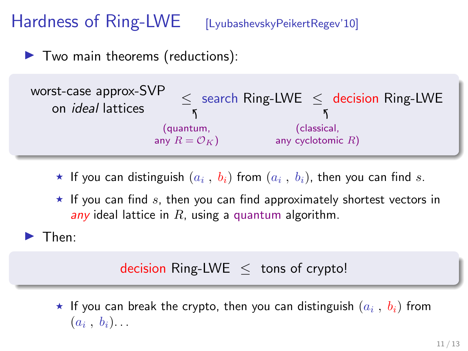$\blacktriangleright$  Two main theorems (reductions):



- $\star$  If you can distinguish  $(a_i\;,\;b_i)$  from  $(a_i\;,\;b_i)$ , then you can find  $s.$
- $\star$  If you can find s, then you can find approximately shortest vectors in any ideal lattice in  $R$ , using a quantum algorithm.

 $\blacktriangleright$  Then:

#### decision Ring-LWE  $\leq$  tons of crypto!

 $\star$  If you can break the crypto, then you can distinguish  $(a_i$  ,  $b_i)$  from  $(a_i, b_i)$ ...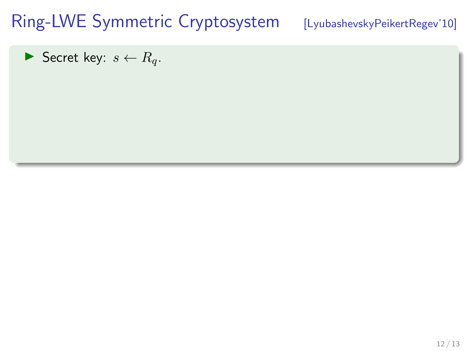Secret key:  $s \leftarrow R_q$ .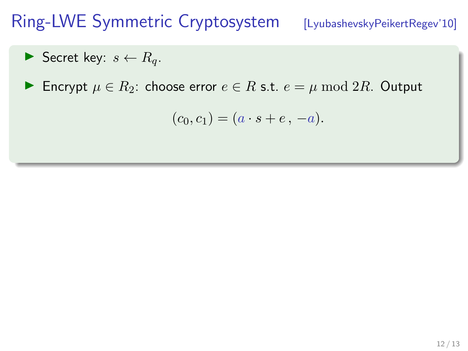Secret key:  $s \leftarrow R_q$ .

 $\blacktriangleright$  Encrypt  $\mu \in R_2$ : choose error  $e \in R$  s.t.  $e = \mu \mod 2R$ . Output

$$
(c_0, c_1) = (a \cdot s + e, -a).
$$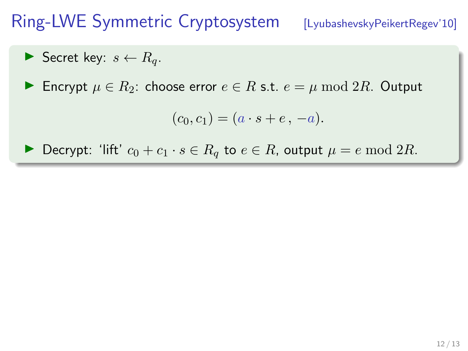$$
\blacktriangleright \text{ Secret key: } s \leftarrow R_q.
$$

► Encrypt  $\mu \in R_2$ : choose error  $e \in R$  s.t.  $e = \mu \mod 2R$ . Output

$$
(c_0, c_1) = (a \cdot s + e, -a).
$$

 $\triangleright$  Decrypt: 'lift'  $c_0 + c_1 \cdot s \in R_q$  to  $e \in R$ , output  $\mu = e \mod 2R$ .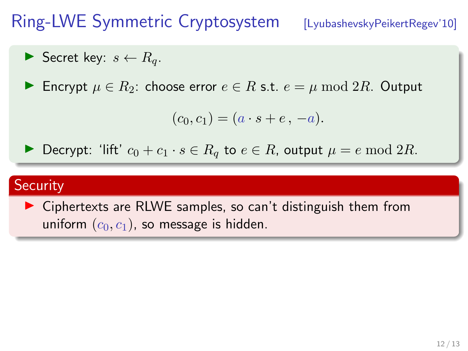$$
\blacktriangleright \text{ Secret key: } s \leftarrow R_q.
$$

Encrypt  $\mu \in R_2$ : choose error  $e \in R$  s.t.  $e = \mu \mod 2R$ . Output

$$
(c_0, c_1) = (a \cdot s + e, -a).
$$

 $\triangleright$  Decrypt: 'lift'  $c_0 + c_1 \cdot s \in R_q$  to  $e \in R$ , output  $\mu = e \mod 2R$ .

#### **Security**

 $\triangleright$  Ciphertexts are RLWE samples, so can't distinguish them from uniform  $(c_0, c_1)$ , so message is hidden.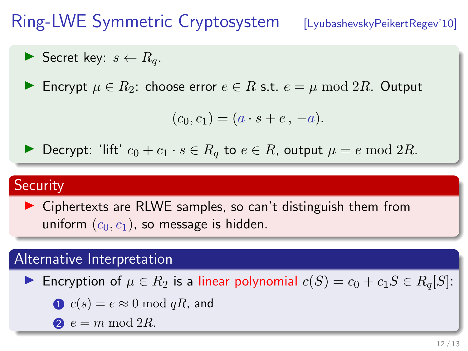$$
\blacktriangleright \text{ Secret key: } s \leftarrow R_q.
$$

Encrypt  $\mu \in R_2$ : choose error  $e \in R$  s.t.  $e = \mu \mod 2R$ . Output

$$
(c_0, c_1) = (a \cdot s + e, -a).
$$

Decrypt: 'lift'  $c_0 + c_1 \cdot s \in R_q$  to  $e \in R$ , output  $\mu = e \mod 2R$ .

#### **Security**

 $\triangleright$  Ciphertexts are RLWE samples, so can't distinguish them from uniform  $(c_0, c_1)$ , so message is hidden.

#### Alternative Interpretation

Encryption of  $\mu \in R_2$  is a linear polynomial  $c(S) = c_0 + c_1S \in R_q[S]$ :

$$
c(s) = e \approx 0 \bmod qR
$$
, and

 $e = m \bmod 2R$ .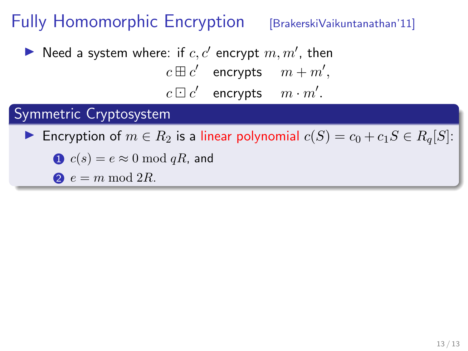Need a system where: if  $c, c'$  encrypt  $m, m'$ , then  $c \boxplus c'$  encrypts  $m + m',$  $c \boxdot c'$  encrypts  $m \cdot m'.$ 

### Symmetric Cryptosystem

Encryption of  $m \in R_2$  is a linear polynomial  $c(S) = c_0 + c_1S \in R_q[S]$ :

$$
c(s) = e \approx 0 \bmod qR
$$
, and

$$
e = m \bmod 2R.
$$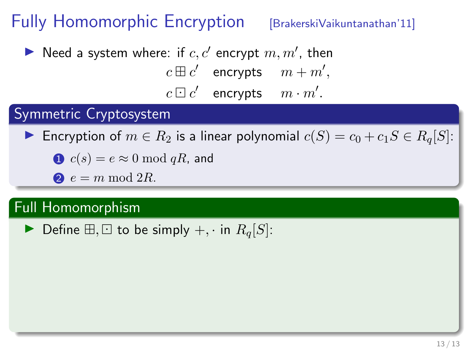Need a system where: if  $c, c'$  encrypt  $m, m'$ , then  $c \boxplus c'$  encrypts  $m + m',$ 

 $c \boxdot c'$  encrypts  $m \cdot m'.$ 

### Symmetric Cryptosystem

Encryption of  $m \in R_2$  is a linear polynomial  $c(S) = c_0 + c_1S \in R_q[S]$ :

 $\bullet$   $c(s) = e \approx 0 \mod qR$ , and

 $e = m \bmod 2R$ .

### Full Homomorphism

 $\blacktriangleright$  Define  $\boxplus$ ,  $\boxdot$  to be simply  $+$ , · in  $R_a[S]$ :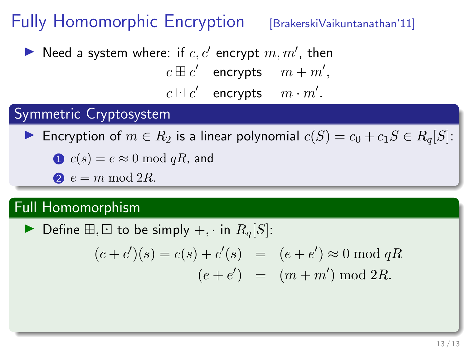Need a system where: if  $c, c'$  encrypt  $m, m'$ , then  $c \boxplus c'$  encrypts  $m + m',$ 

 $c \boxdot c'$  encrypts  $m \cdot m'.$ 

### Symmetric Cryptosystem

Encryption of  $m \in R_2$  is a linear polynomial  $c(S) = c_0 + c_1S \in R_q[S]$ :

 $\bullet$   $c(s) = e \approx 0 \mod qR$ , and

 $e = m \bmod 2R$ .

### Full Homomorphism

 $\blacktriangleright$  Define  $\boxplus$ ,  $\boxdot$  to be simply  $+$ , · in  $R_a[S]$ :

$$
(c + c')(s) = c(s) + c'(s) = (e + e') \approx 0 \mod qR
$$
  
 $(e + e') = (m + m') \mod 2R.$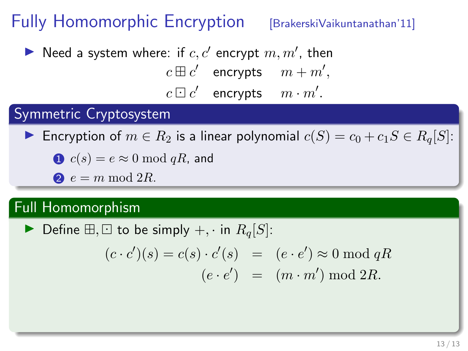Need a system where: if  $c, c'$  encrypt  $m, m'$ , then  $c \boxplus c'$  encrypts  $m + m',$ 

 $c \boxdot c'$  encrypts  $m \cdot m'.$ 

### Symmetric Cryptosystem

Encryption of  $m \in R_2$  is a linear polynomial  $c(S) = c_0 + c_1S \in R_q[S]$ :

 $\bullet$   $c(s) = e \approx 0 \mod qR$ , and

 $e = m \bmod 2R$ .

### Full Homomorphism

 $\blacktriangleright$  Define  $\boxplus$ ,  $\boxdot$  to be simply  $+$ , · in  $R_a[S]$ :

$$
(c \cdot c')(s) = c(s) \cdot c'(s) = (e \cdot e') \approx 0 \mod qR
$$

$$
(e \cdot e') = (m \cdot m') \mod 2R.
$$